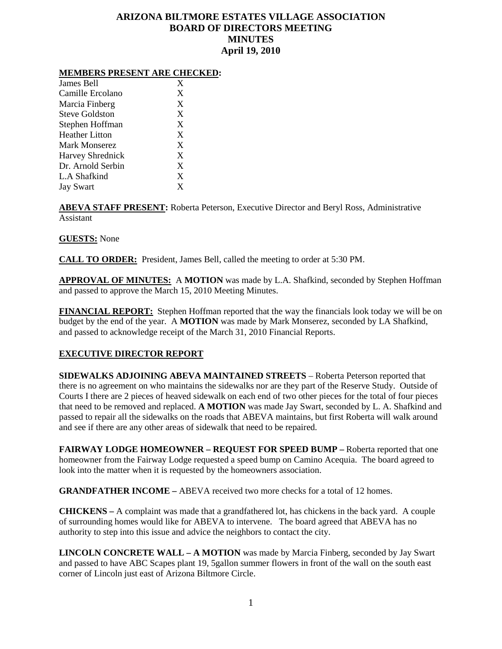# **ARIZONA BILTMORE ESTATES VILLAGE ASSOCIATION BOARD OF DIRECTORS MEETING MINUTES April 19, 2010**

#### **MEMBERS PRESENT ARE CHECKED:**

| James Bell              | X |
|-------------------------|---|
| Camille Ercolano        | X |
| Marcia Finberg          | X |
| Steve Goldston          | X |
| Stephen Hoffman         | X |
| <b>Heather Litton</b>   | X |
| Mark Monserez           | X |
| <b>Harvey Shrednick</b> | X |
| Dr. Arnold Serbin       | X |
| L.A Shafkind            | X |
| <b>Jay Swart</b>        | X |

**ABEVA STAFF PRESENT:** Roberta Peterson, Executive Director and Beryl Ross, Administrative Assistant

## **GUESTS:** None

**CALL TO ORDER:** President, James Bell, called the meeting to order at 5:30 PM.

**APPROVAL OF MINUTES:** A **MOTION** was made by L.A. Shafkind, seconded by Stephen Hoffman and passed to approve the March 15, 2010 Meeting Minutes.

**FINANCIAL REPORT:** Stephen Hoffman reported that the way the financials look today we will be on budget by the end of the year. A **MOTION** was made by Mark Monserez, seconded by LA Shafkind, and passed to acknowledge receipt of the March 31, 2010 Financial Reports.

# **EXECUTIVE DIRECTOR REPORT**

**SIDEWALKS ADJOINING ABEVA MAINTAINED STREETS** – Roberta Peterson reported that there is no agreement on who maintains the sidewalks nor are they part of the Reserve Study. Outside of Courts I there are 2 pieces of heaved sidewalk on each end of two other pieces for the total of four pieces that need to be removed and replaced. **A MOTION** was made Jay Swart, seconded by L. A. Shafkind and passed to repair all the sidewalks on the roads that ABEVA maintains, but first Roberta will walk around and see if there are any other areas of sidewalk that need to be repaired.

**FAIRWAY LODGE HOMEOWNER – REQUEST FOR SPEED BUMP –** Roberta reported that one homeowner from the Fairway Lodge requested a speed bump on Camino Acequia. The board agreed to look into the matter when it is requested by the homeowners association.

**GRANDFATHER INCOME –** ABEVA received two more checks for a total of 12 homes.

**CHICKENS –** A complaint was made that a grandfathered lot, has chickens in the back yard. A couple of surrounding homes would like for ABEVA to intervene. The board agreed that ABEVA has no authority to step into this issue and advice the neighbors to contact the city.

**LINCOLN CONCRETE WALL – A MOTION** was made by Marcia Finberg, seconded by Jay Swart and passed to have ABC Scapes plant 19, 5gallon summer flowers in front of the wall on the south east corner of Lincoln just east of Arizona Biltmore Circle.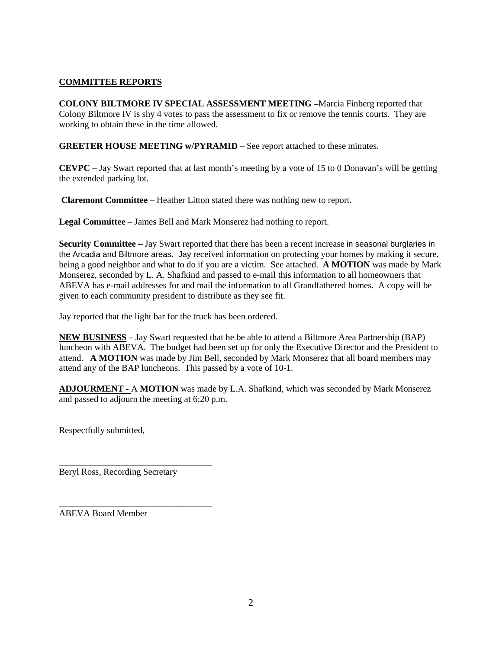# **COMMITTEE REPORTS**

**COLONY BILTMORE IV SPECIAL ASSESSMENT MEETING –**Marcia Finberg reported that Colony Biltmore IV is shy 4 votes to pass the assessment to fix or remove the tennis courts. They are working to obtain these in the time allowed.

**GREETER HOUSE MEETING w/PYRAMID –** See report attached to these minutes.

**CEVPC –** Jay Swart reported that at last month's meeting by a vote of 15 to 0 Donavan's will be getting the extended parking lot.

**Claremont Committee –** Heather Litton stated there was nothing new to report.

**Legal Committee** – James Bell and Mark Monserez had nothing to report.

**Security Committee –** Jay Swart reported that there has been a recent increase in seasonal burglaries in the Arcadia and Biltmore areas. Jay received information on protecting your homes by making it secure, being a good neighbor and what to do if you are a victim. See attached. **A MOTION** was made by Mark Monserez, seconded by L. A. Shafkind and passed to e-mail this information to all homeowners that ABEVA has e-mail addresses for and mail the information to all Grandfathered homes. A copy will be given to each community president to distribute as they see fit.

Jay reported that the light bar for the truck has been ordered.

**NEW BUSINESS** – Jay Swart requested that he be able to attend a Biltmore Area Partnership (BAP) luncheon with ABEVA. The budget had been set up for only the Executive Director and the President to attend. **A MOTION** was made by Jim Bell, seconded by Mark Monserez that all board members may attend any of the BAP luncheons. This passed by a vote of 10-1.

**ADJOURMENT -** A **MOTION** was made by L.A. Shafkind, which was seconded by Mark Monserez and passed to adjourn the meeting at 6:20 p.m.

Respectfully submitted,

Beryl Ross, Recording Secretary

\_\_\_\_\_\_\_\_\_\_\_\_\_\_\_\_\_\_\_\_\_\_\_\_\_\_\_\_\_\_\_\_\_\_

\_\_\_\_\_\_\_\_\_\_\_\_\_\_\_\_\_\_\_\_\_\_\_\_\_\_\_\_\_\_\_\_\_\_ ABEVA Board Member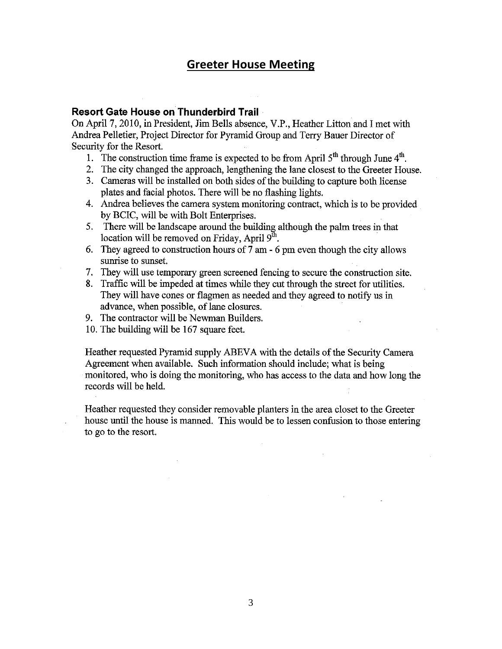# **Greeter House Meeting**

# **Resort Gate House on Thunderbird Trail**

On April 7, 2010, in President, Jim Bells absence, V.P., Heather Litton and I met with Andrea Pelletier, Project Director for Pyramid Group and Terry Bauer Director of Security for the Resort.

- 1. The construction time frame is expected to be from April  $5<sup>th</sup>$  through June  $4<sup>th</sup>$ .
- 2. The city changed the approach, lengthening the lane closest to the Greeter House.
- 3. Cameras will be installed on both sides of the building to capture both license plates and facial photos. There will be no flashing lights.
- 4. Andrea believes the camera system monitoring contract, which is to be provided by BCIC, will be with Bolt Enterprises.
- 5. There will be landscape around the building although the palm trees in that location will be removed on Friday, April 9<sup>th</sup>.
- 6. They agreed to construction hours of 7 am 6 pm even though the city allows sunrise to sunset.
- 7. They will use temporary green screened fencing to secure the construction site.
- 8. Traffic will be impeded at times while they cut through the street for utilities. They will have cones or flagmen as needed and they agreed to notify us in advance, when possible, of lane closures.
- 9. The contractor will be Newman Builders.
- 10. The building will be 167 square feet.

Heather requested Pyramid supply ABEVA with the details of the Security Camera Agreement when available. Such information should include; what is being monitored, who is doing the monitoring, who has access to the data and how long the records will be held.

Heather requested they consider removable planters in the area closet to the Greeter house until the house is manned. This would be to lessen confusion to those entering to go to the resort.